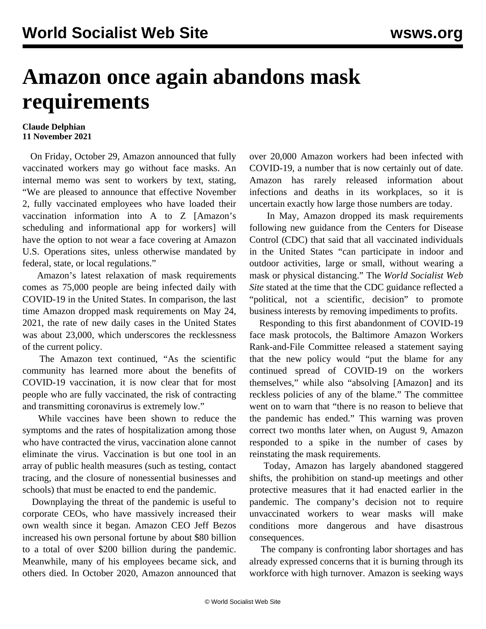## **Amazon once again abandons mask requirements**

## **Claude Delphian 11 November 2021**

 On Friday, October 29, Amazon announced that fully vaccinated workers may go without face masks. An internal memo was sent to workers by text, stating, "We are pleased to announce that effective November 2, fully vaccinated employees who have loaded their vaccination information into A to Z [Amazon's scheduling and informational app for workers] will have the option to not wear a face covering at Amazon U.S. Operations sites, unless otherwise mandated by federal, state, or local regulations."

 Amazon's latest relaxation of mask requirements comes as 75,000 people are being infected daily with COVID-19 in the United States. In comparison, the last time Amazon dropped mask requirements on May 24, 2021, the rate of new daily cases in the United States was about 23,000, which underscores the recklessness of the current policy.

 The Amazon text continued, "As the scientific community has learned more about the benefits of COVID-19 vaccination, it is now clear that for most people who are fully vaccinated, the risk of contracting and transmitting coronavirus is extremely low."

 While vaccines have been shown to reduce the symptoms and the rates of hospitalization among those who have contracted the virus, vaccination alone cannot eliminate the virus. Vaccination is but one tool in an array of public health measures (such as testing, contact tracing, and the closure of nonessential businesses and schools) that must be enacted to end the pandemic.

 Downplaying the threat of the pandemic is useful to corporate CEOs, who have massively increased their own wealth since it began. Amazon CEO Jeff Bezos increased his own personal fortune by about \$80 billion to a total of over \$200 billion during the pandemic. Meanwhile, many of his employees became sick, and others died. In October 2020, Amazon announced that over 20,000 Amazon workers had been infected with COVID-19, a number that is now certainly out of date. Amazon has rarely released information about infections and deaths in its workplaces, so it is uncertain exactly how large those numbers are today.

 In May, Amazon dropped its mask requirements following new guidance from the Centers for Disease Control (CDC) that said that all vaccinated individuals in the United States "can participate in indoor and outdoor activities, large or small, without wearing a mask or physical distancing." The *World Socialist Web Site* stated at the time that the CDC guidance reflected a "political, not a scientific, decision" to promote business interests by removing impediments to profits.

 Responding to this first abandonment of COVID-19 face mask protocols, the Baltimore Amazon Workers Rank-and-File Committee released a statement saying that the new policy would "put the blame for any continued spread of COVID-19 on the workers themselves," while also "absolving [Amazon] and its reckless policies of any of the blame." The committee went on to warn that "there is no reason to believe that the pandemic has ended." This warning was proven correct two months later when, on August 9, Amazon responded to a spike in the number of cases by reinstating the mask requirements.

 Today, Amazon has largely abandoned staggered shifts, the prohibition on stand-up meetings and other protective measures that it had enacted earlier in the pandemic. The company's decision not to require unvaccinated workers to wear masks will make conditions more dangerous and have disastrous consequences.

 The company is confronting labor shortages and has already expressed concerns that it is burning through its workforce with high turnover. Amazon is seeking ways